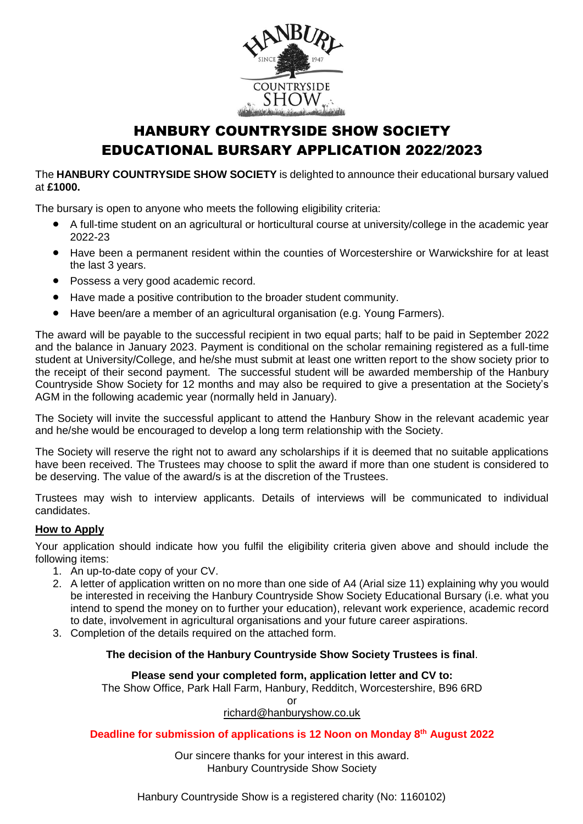

# HANBURY COUNTRYSIDE SHOW SOCIETY EDUCATIONAL BURSARY APPLICATION 2022/2023

#### The **HANBURY COUNTRYSIDE SHOW SOCIETY** is delighted to announce their educational bursary valued at **£1000.**

The bursary is open to anyone who meets the following eligibility criteria:

- A full-time student on an agricultural or horticultural course at university/college in the academic year 2022-23
- Have been a permanent resident within the counties of Worcestershire or Warwickshire for at least the last 3 years.
- Possess a very good academic record.
- Have made a positive contribution to the broader student community.
- Have been/are a member of an agricultural organisation (e.g. Young Farmers).

The award will be payable to the successful recipient in two equal parts; half to be paid in September 2022 and the balance in January 2023. Payment is conditional on the scholar remaining registered as a full-time student at University/College, and he/she must submit at least one written report to the show society prior to the receipt of their second payment. The successful student will be awarded membership of the Hanbury Countryside Show Society for 12 months and may also be required to give a presentation at the Society's AGM in the following academic year (normally held in January).

The Society will invite the successful applicant to attend the Hanbury Show in the relevant academic year and he/she would be encouraged to develop a long term relationship with the Society.

The Society will reserve the right not to award any scholarships if it is deemed that no suitable applications have been received. The Trustees may choose to split the award if more than one student is considered to be deserving. The value of the award/s is at the discretion of the Trustees.

Trustees may wish to interview applicants. Details of interviews will be communicated to individual candidates.

### **How to Apply**

Your application should indicate how you fulfil the eligibility criteria given above and should include the following items:

- 1. An up-to-date copy of your CV.
- 2. A letter of application written on no more than one side of A4 (Arial size 11) explaining why you would be interested in receiving the Hanbury Countryside Show Society Educational Bursary (i.e. what you intend to spend the money on to further your education), relevant work experience, academic record to date, involvement in agricultural organisations and your future career aspirations.
- 3. Completion of the details required on the attached form.

#### **The decision of the Hanbury Countryside Show Society Trustees is final**.

#### **Please send your completed form, application letter and CV to:**

The Show Office, Park Hall Farm, Hanbury, Redditch, Worcestershire, B96 6RD

#### or

## [richard@hanburyshow.co.uk](mailto:richard@hanburyshow.co.uk)

#### **Deadline for submission of applications is 12 Noon on Monday 8 th August 2022**

Our sincere thanks for your interest in this award. Hanbury Countryside Show Society